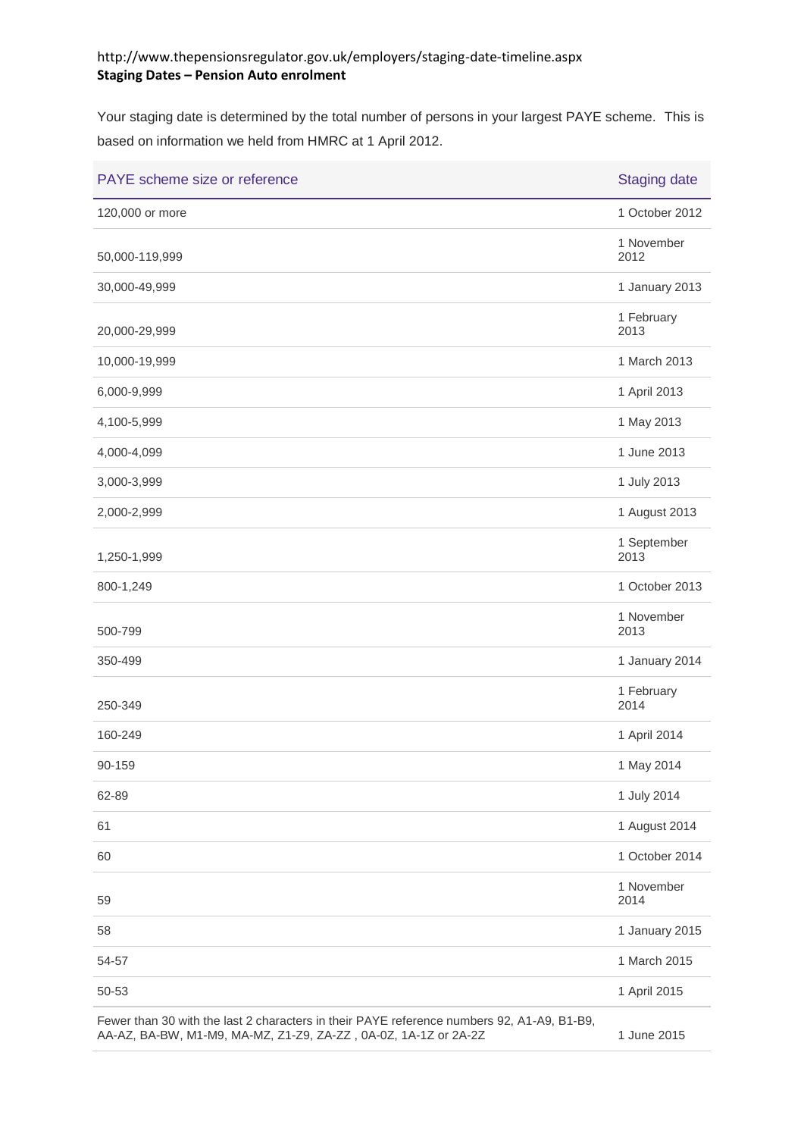## http://www.thepensionsregulator.gov.uk/employers/staging-date-timeline.aspx **Staging Dates – Pension Auto enrolment**

Your staging date is determined by the total number of persons in your largest PAYE scheme. This is based on information we held from HMRC at 1 April 2012.

| PAYE scheme size or reference                                                                                                                                 | <b>Staging date</b> |
|---------------------------------------------------------------------------------------------------------------------------------------------------------------|---------------------|
| 120,000 or more                                                                                                                                               | 1 October 2012      |
| 50,000-119,999                                                                                                                                                | 1 November<br>2012  |
| 30,000-49,999                                                                                                                                                 | 1 January 2013      |
| 20,000-29,999                                                                                                                                                 | 1 February<br>2013  |
| 10,000-19,999                                                                                                                                                 | 1 March 2013        |
| 6,000-9,999                                                                                                                                                   | 1 April 2013        |
| 4,100-5,999                                                                                                                                                   | 1 May 2013          |
| 4,000-4,099                                                                                                                                                   | 1 June 2013         |
| 3,000-3,999                                                                                                                                                   | 1 July 2013         |
| 2,000-2,999                                                                                                                                                   | 1 August 2013       |
| 1,250-1,999                                                                                                                                                   | 1 September<br>2013 |
| 800-1,249                                                                                                                                                     | 1 October 2013      |
| 500-799                                                                                                                                                       | 1 November<br>2013  |
| 350-499                                                                                                                                                       | 1 January 2014      |
| 250-349                                                                                                                                                       | 1 February<br>2014  |
| 160-249                                                                                                                                                       | 1 April 2014        |
| 90-159                                                                                                                                                        | 1 May 2014          |
| 62-89                                                                                                                                                         | 1 July 2014         |
| 61                                                                                                                                                            | 1 August 2014       |
| 60                                                                                                                                                            | 1 October 2014      |
| 59                                                                                                                                                            | 1 November<br>2014  |
| 58                                                                                                                                                            | 1 January 2015      |
| 54-57                                                                                                                                                         | 1 March 2015        |
| 50-53                                                                                                                                                         | 1 April 2015        |
| Fewer than 30 with the last 2 characters in their PAYE reference numbers 92, A1-A9, B1-B9,<br>AA-AZ, BA-BW, M1-M9, MA-MZ, Z1-Z9, ZA-ZZ, 0A-0Z, 1A-1Z or 2A-2Z | 1 June 2015         |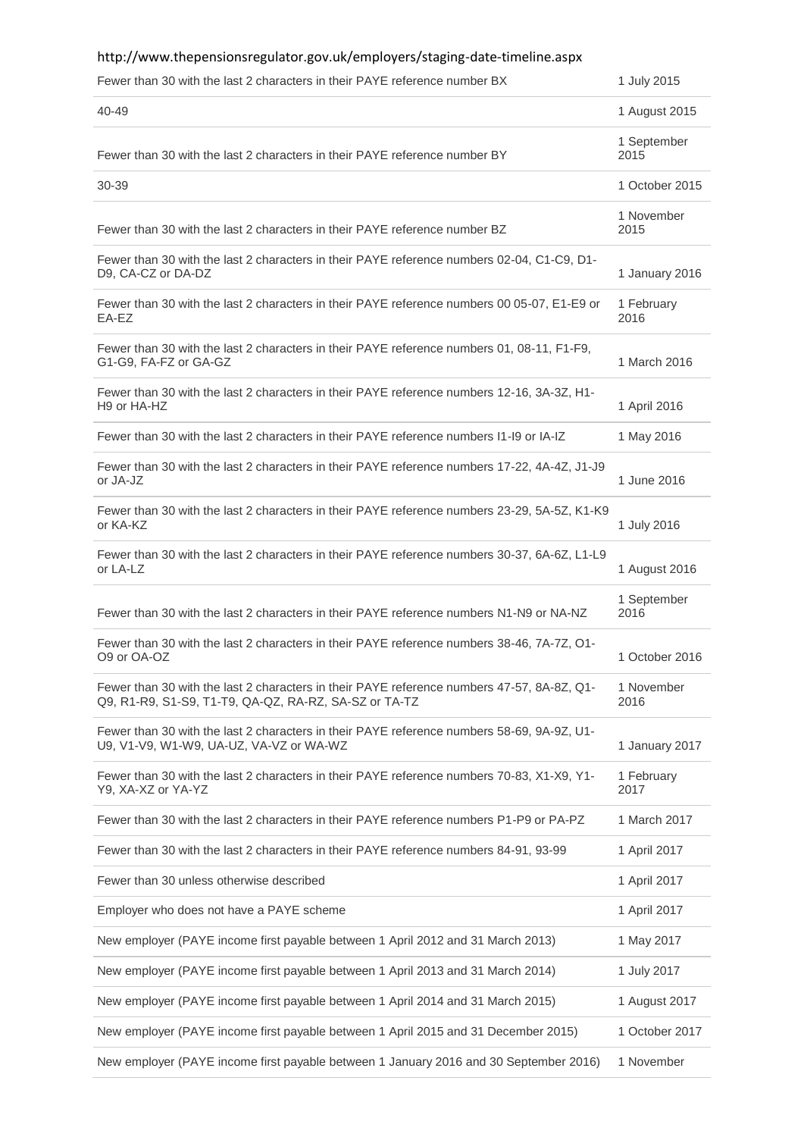| http://www.thepensionsregulator.gov.uk/employers/staging-date-timeline.aspx                                                                         |                     |
|-----------------------------------------------------------------------------------------------------------------------------------------------------|---------------------|
| Fewer than 30 with the last 2 characters in their PAYE reference number BX                                                                          | 1 July 2015         |
| 40-49                                                                                                                                               | 1 August 2015       |
| Fewer than 30 with the last 2 characters in their PAYE reference number BY                                                                          | 1 September<br>2015 |
| 30-39                                                                                                                                               | 1 October 2015      |
| Fewer than 30 with the last 2 characters in their PAYE reference number BZ                                                                          | 1 November<br>2015  |
| Fewer than 30 with the last 2 characters in their PAYE reference numbers 02-04, C1-C9, D1-<br>D9, CA-CZ or DA-DZ                                    | 1 January 2016      |
| Fewer than 30 with the last 2 characters in their PAYE reference numbers 00 05-07, E1-E9 or<br>EA-EZ                                                | 1 February<br>2016  |
| Fewer than 30 with the last 2 characters in their PAYE reference numbers 01, 08-11, F1-F9,<br>G1-G9, FA-FZ or GA-GZ                                 | 1 March 2016        |
| Fewer than 30 with the last 2 characters in their PAYE reference numbers 12-16, 3A-3Z, H1-<br>H9 or HA-HZ                                           | 1 April 2016        |
| Fewer than 30 with the last 2 characters in their PAYE reference numbers I1-I9 or IA-IZ                                                             | 1 May 2016          |
| Fewer than 30 with the last 2 characters in their PAYE reference numbers 17-22, 4A-4Z, J1-J9<br>or JA-JZ                                            | 1 June 2016         |
| Fewer than 30 with the last 2 characters in their PAYE reference numbers 23-29, 5A-5Z, K1-K9<br>or KA-KZ                                            | 1 July 2016         |
| Fewer than 30 with the last 2 characters in their PAYE reference numbers 30-37, 6A-6Z, L1-L9<br>or LA-LZ                                            | 1 August 2016       |
| Fewer than 30 with the last 2 characters in their PAYE reference numbers N1-N9 or NA-NZ                                                             | 1 September<br>2016 |
| Fewer than 30 with the last 2 characters in their PAYE reference numbers 38-46, 7A-7Z, O1-<br>O9 or OA-OZ                                           | 1 October 2016      |
| Fewer than 30 with the last 2 characters in their PAYE reference numbers 47-57, 8A-8Z, Q1-<br>Q9, R1-R9, S1-S9, T1-T9, QA-QZ, RA-RZ, SA-SZ or TA-TZ | 1 November<br>2016  |
| Fewer than 30 with the last 2 characters in their PAYE reference numbers 58-69, 9A-9Z, U1-<br>U9, V1-V9, W1-W9, UA-UZ, VA-VZ or WA-WZ               | 1 January 2017      |
| Fewer than 30 with the last 2 characters in their PAYE reference numbers 70-83, X1-X9, Y1-<br>Y9, XA-XZ or YA-YZ                                    | 1 February<br>2017  |
| Fewer than 30 with the last 2 characters in their PAYE reference numbers P1-P9 or PA-PZ                                                             | 1 March 2017        |
| Fewer than 30 with the last 2 characters in their PAYE reference numbers 84-91, 93-99                                                               | 1 April 2017        |
| Fewer than 30 unless otherwise described                                                                                                            | 1 April 2017        |
| Employer who does not have a PAYE scheme                                                                                                            | 1 April 2017        |
| New employer (PAYE income first payable between 1 April 2012 and 31 March 2013)                                                                     | 1 May 2017          |
| New employer (PAYE income first payable between 1 April 2013 and 31 March 2014)                                                                     | 1 July 2017         |
| New employer (PAYE income first payable between 1 April 2014 and 31 March 2015)                                                                     | 1 August 2017       |
| New employer (PAYE income first payable between 1 April 2015 and 31 December 2015)                                                                  | 1 October 2017      |
| New employer (PAYE income first payable between 1 January 2016 and 30 September 2016)                                                               | 1 November          |